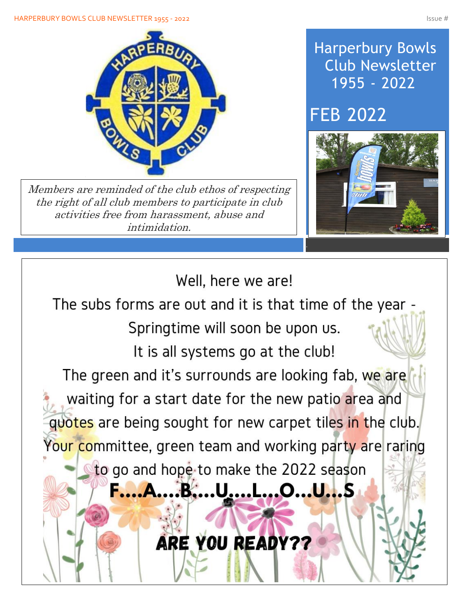

Members are reminded of the club ethos of respecting the right of all club members to participate in club activities free from harassment, abuse and intimidation.

# Harperbury Bowls Club Newsletter 1955 - 2022

# FEB 2022



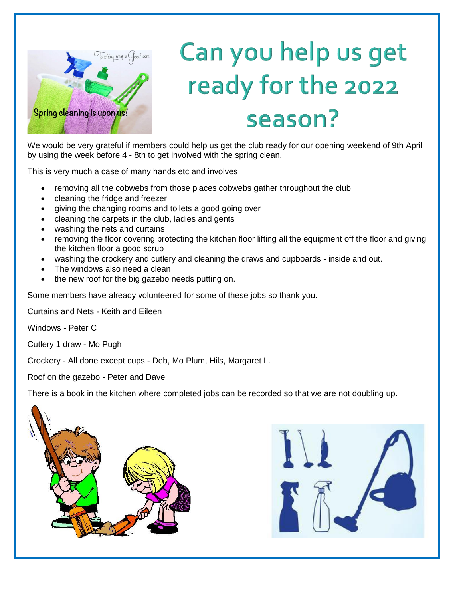

Í

 $\overline{\phantom{a}}$ 

I

I

I

I

I

I

I

I

# Can you help us get ready for the 2022 season?

We would be very grateful if members could help us get the club ready for our opening weekend of 9th April by using the week before 4 - 8th to get involved with the spring clean.

This is very much a case of many hands etc and involves

- removing all the cobwebs from those places cobwebs gather throughout the club
- cleaning the fridge and freezer
- giving the changing rooms and toilets a good going over
- cleaning the carpets in the club, ladies and gents
- washing the nets and curtains
- removing the floor covering protecting the kitchen floor lifting all the equipment off the floor and giving the kitchen floor a good scrub
- washing the crockery and cutlery and cleaning the draws and cupboards inside and out.
- The windows also need a clean
- the new roof for the big gazebo needs putting on.

Some members have already volunteered for some of these jobs so thank you.

Curtains and Nets - Keith and Eileen

Windows - Peter C

Cutlery 1 draw - Mo Pugh

Crockery - All done except cups - Deb, Mo Plum, Hils, Margaret L.

Roof on the gazebo - Peter and Dave

There is a book in the kitchen where completed jobs can be recorded so that we are not doubling up.



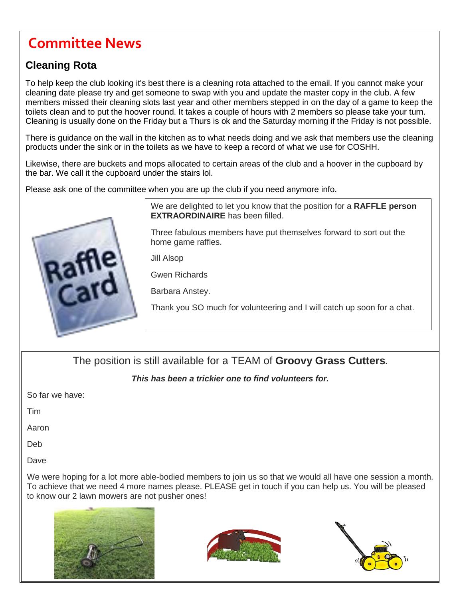# **Committee News**

### **Cleaning Rota**

To help keep the club looking it's best there is a cleaning rota attached to the email. If you cannot make your cleaning date please try and get someone to swap with you and update the master copy in the club. A few members missed their cleaning slots last year and other members stepped in on the day of a game to keep the toilets clean and to put the hoover round. It takes a couple of hours with 2 members so please take your turn. Cleaning is usually done on the Friday but a Thurs is ok and the Saturday morning if the Friday is not possible.

There is guidance on the wall in the kitchen as to what needs doing and we ask that members use the cleaning products under the sink or in the toilets as we have to keep a record of what we use for COSHH.

Likewise, there are buckets and mops allocated to certain areas of the club and a hoover in the cupboard by the bar. We call it the cupboard under the stairs lol.

Please ask one of the committee when you are up the club if you need anymore info.



We are delighted to let you know that the position for a **RAFFLE person EXTRAORDINAIRE** has been filled.

Three fabulous members have put themselves forward to sort out the home game raffles.

Jill Alsop

Gwen Richards

Barbara Anstey.

Thank you SO much for volunteering and I will catch up soon for a chat.

The position is still available for a TEAM of **Groovy Grass Cutters.**

#### *This has been a trickier one to find volunteers for.*

So far we have:

Tim

Aaron

֓ Deb

Dave

 To achieve that we need 4 more names please. PLEASE get in touch if you can help us. You will be pleased We were hoping for a lot more able-bodied members to join us so that we would all have one session a month. to know our 2 lawn mowers are not pusher ones!





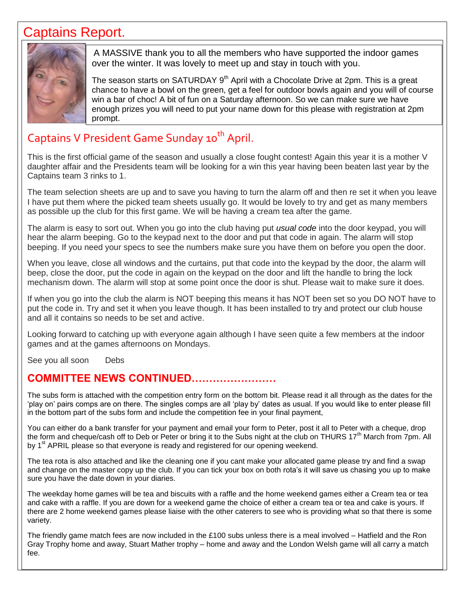## Captains Report.



A MASSIVE thank you to all the members who have supported the indoor games over the winter. It was lovely to meet up and stay in touch with you.

The season starts on SATURDAY  $9<sup>th</sup>$  April with a Chocolate Drive at 2pm. This is a great chance to have a bowl on the green, get a feel for outdoor bowls again and you will of course win a bar of choc! A bit of fun on a Saturday afternoon. So we can make sure we have enough prizes you will need to put your name down for this please with registration at 2pm prompt.

## Captains V President Game Sunday 10<sup>th</sup> April.

This is the first official game of the season and usually a close fought contest! Again this year it is a mother V daughter affair and the Presidents team will be looking for a win this year having been beaten last year by the Captains team 3 rinks to 1.

The team selection sheets are up and to save you having to turn the alarm off and then re set it when you leave I have put them where the picked team sheets usually go. It would be lovely to try and get as many members as possible up the club for this first game. We will be having a cream tea after the game.

The alarm is easy to sort out. When you go into the club having put *usual code* into the door keypad, you will hear the alarm beeping. Go to the keypad next to the door and put that code in again. The alarm will stop beeping. If you need your specs to see the numbers make sure you have them on before you open the door.

When you leave, close all windows and the curtains, put that code into the keypad by the door, the alarm will beep, close the door, put the code in again on the keypad on the door and lift the handle to bring the lock mechanism down. The alarm will stop at some point once the door is shut. Please wait to make sure it does.

If when you go into the club the alarm is NOT beeping this means it has NOT been set so you DO NOT have to put the code in. Try and set it when you leave though. It has been installed to try and protect our club house and all it contains so needs to be set and active.

Looking forward to catching up with everyone again although I have seen quite a few members at the indoor games and at the games afternoons on Mondays.

See you all soon Debs

#### **COMMITTEE NEWS CONTINUED……………………**

The subs form is attached with the competition entry form on the bottom bit. Please read it all through as the dates for the 'play on' pairs comps are on there. The singles comps are all 'play by' dates as usual. If you would like to enter please fill in the bottom part of the subs form and include the competition fee in your final payment,

You can either do a bank transfer for your payment and email your form to Peter, post it all to Peter with a cheque, drop the form and cheque/cash off to Deb or Peter or bring it to the Subs night at the club on THURS 17<sup>th</sup> March from 7pm. All by  $1<sup>st</sup>$  APRIL please so that everyone is ready and registered for our opening weekend.

The tea rota is also attached and like the cleaning one if you cant make your allocated game please try and find a swap and change on the master copy up the club. If you can tick your box on both rota's it will save us chasing you up to make sure you have the date down in your diaries.

The weekday home games will be tea and biscuits with a raffle and the home weekend games either a Cream tea or tea and cake with a raffle. If you are down for a weekend game the choice of either a cream tea or tea and cake is yours. If there are 2 home weekend games please liaise with the other caterers to see who is providing what so that there is some variety.

The friendly game match fees are now included in the £100 subs unless there is a meal involved – Hatfield and the Ron Gray Trophy home and away, Stuart Mather trophy – home and away and the London Welsh game will all carry a match fee.